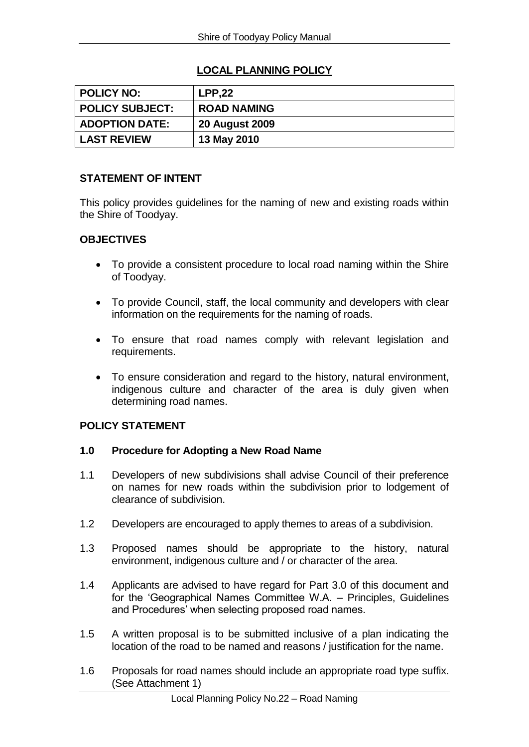# **LOCAL PLANNING POLICY**

| POLICY NO:            | <b>LPP.22</b>         |
|-----------------------|-----------------------|
| POLICY SUBJECT:       | <b>ROAD NAMING</b>    |
| <b>ADOPTION DATE:</b> | <b>20 August 2009</b> |
| <b>LAST REVIEW</b>    | 13 May 2010           |

## **STATEMENT OF INTENT**

This policy provides guidelines for the naming of new and existing roads within the Shire of Toodyay.

## **OBJECTIVES**

- To provide a consistent procedure to local road naming within the Shire of Toodyay.
- To provide Council, staff, the local community and developers with clear information on the requirements for the naming of roads.
- To ensure that road names comply with relevant legislation and requirements.
- To ensure consideration and regard to the history, natural environment, indigenous culture and character of the area is duly given when determining road names.

#### **POLICY STATEMENT**

#### **1.0 Procedure for Adopting a New Road Name**

- 1.1 Developers of new subdivisions shall advise Council of their preference on names for new roads within the subdivision prior to lodgement of clearance of subdivision.
- 1.2 Developers are encouraged to apply themes to areas of a subdivision.
- 1.3 Proposed names should be appropriate to the history, natural environment, indigenous culture and / or character of the area.
- 1.4 Applicants are advised to have regard for Part 3.0 of this document and for the 'Geographical Names Committee W.A. – Principles, Guidelines and Procedures' when selecting proposed road names.
- 1.5 A written proposal is to be submitted inclusive of a plan indicating the location of the road to be named and reasons / justification for the name.
- 1.6 Proposals for road names should include an appropriate road type suffix. (See Attachment 1)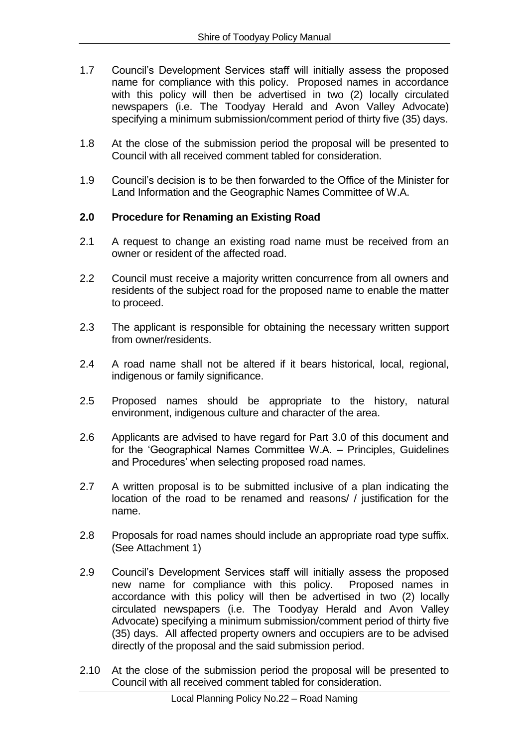- 1.7 Council's Development Services staff will initially assess the proposed name for compliance with this policy. Proposed names in accordance with this policy will then be advertised in two (2) locally circulated newspapers (i.e. The Toodyay Herald and Avon Valley Advocate) specifying a minimum submission/comment period of thirty five (35) days.
- 1.8 At the close of the submission period the proposal will be presented to Council with all received comment tabled for consideration.
- 1.9 Council's decision is to be then forwarded to the Office of the Minister for Land Information and the Geographic Names Committee of W.A.

## **2.0 Procedure for Renaming an Existing Road**

- 2.1 A request to change an existing road name must be received from an owner or resident of the affected road.
- 2.2 Council must receive a majority written concurrence from all owners and residents of the subject road for the proposed name to enable the matter to proceed.
- 2.3 The applicant is responsible for obtaining the necessary written support from owner/residents.
- 2.4 A road name shall not be altered if it bears historical, local, regional, indigenous or family significance.
- 2.5 Proposed names should be appropriate to the history, natural environment, indigenous culture and character of the area.
- 2.6 Applicants are advised to have regard for Part 3.0 of this document and for the 'Geographical Names Committee W.A. – Principles, Guidelines and Procedures' when selecting proposed road names.
- 2.7 A written proposal is to be submitted inclusive of a plan indicating the location of the road to be renamed and reasons/ / justification for the name.
- 2.8 Proposals for road names should include an appropriate road type suffix. (See Attachment 1)
- 2.9 Council's Development Services staff will initially assess the proposed new name for compliance with this policy. Proposed names in accordance with this policy will then be advertised in two (2) locally circulated newspapers (i.e. The Toodyay Herald and Avon Valley Advocate) specifying a minimum submission/comment period of thirty five (35) days. All affected property owners and occupiers are to be advised directly of the proposal and the said submission period.
- 2.10 At the close of the submission period the proposal will be presented to Council with all received comment tabled for consideration.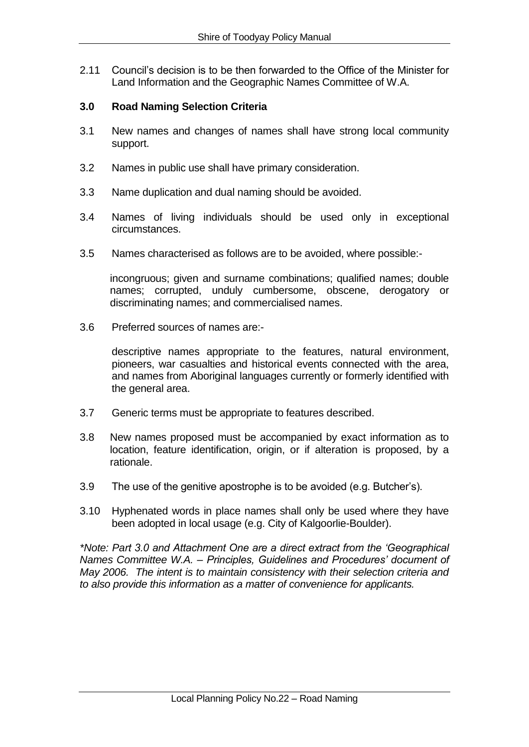2.11 Council's decision is to be then forwarded to the Office of the Minister for Land Information and the Geographic Names Committee of W.A.

## **3.0 Road Naming Selection Criteria**

- 3.1 New names and changes of names shall have strong local community support.
- 3.2 Names in public use shall have primary consideration.
- 3.3 Name duplication and dual naming should be avoided.
- 3.4 Names of living individuals should be used only in exceptional circumstances.
- 3.5 Names characterised as follows are to be avoided, where possible:-

incongruous; given and surname combinations; qualified names; double names; corrupted, unduly cumbersome, obscene, derogatory or discriminating names; and commercialised names.

3.6 Preferred sources of names are:-

descriptive names appropriate to the features, natural environment, pioneers, war casualties and historical events connected with the area, and names from Aboriginal languages currently or formerly identified with the general area.

- 3.7 Generic terms must be appropriate to features described.
- 3.8 New names proposed must be accompanied by exact information as to location, feature identification, origin, or if alteration is proposed, by a rationale.
- 3.9 The use of the genitive apostrophe is to be avoided (e.g. Butcher's).
- 3.10 Hyphenated words in place names shall only be used where they have been adopted in local usage (e.g. City of Kalgoorlie-Boulder).

*\*Note: Part 3.0 and Attachment One are a direct extract from the 'Geographical Names Committee W.A. – Principles, Guidelines and Procedures' document of May 2006. The intent is to maintain consistency with their selection criteria and to also provide this information as a matter of convenience for applicants.*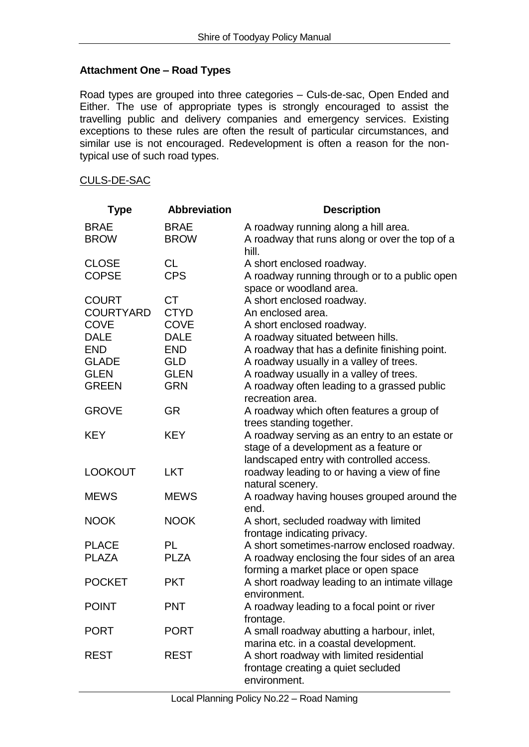## **Attachment One – Road Types**

Road types are grouped into three categories – Culs-de-sac, Open Ended and Either. The use of appropriate types is strongly encouraged to assist the travelling public and delivery companies and emergency services. Existing exceptions to these rules are often the result of particular circumstances, and similar use is not encouraged. Redevelopment is often a reason for the nontypical use of such road types.

#### CULS-DE-SAC

| <b>Type</b>                  | <b>Abbreviation</b>        | <b>Description</b>                                                                                                                      |
|------------------------------|----------------------------|-----------------------------------------------------------------------------------------------------------------------------------------|
| <b>BRAE</b><br><b>BROW</b>   | <b>BRAE</b><br><b>BROW</b> | A roadway running along a hill area.<br>A roadway that runs along or over the top of a                                                  |
| <b>CLOSE</b><br><b>COPSE</b> | <b>CL</b><br><b>CPS</b>    | hill.<br>A short enclosed roadway.<br>A roadway running through or to a public open                                                     |
|                              |                            | space or woodland area.                                                                                                                 |
| <b>COURT</b>                 | <b>CT</b>                  | A short enclosed roadway.                                                                                                               |
| <b>COURTYARD</b>             | <b>CTYD</b>                | An enclosed area.                                                                                                                       |
| <b>COVE</b>                  | <b>COVE</b>                | A short enclosed roadway.                                                                                                               |
| <b>DALE</b>                  | <b>DALE</b>                | A roadway situated between hills.                                                                                                       |
| <b>END</b>                   | <b>END</b>                 | A roadway that has a definite finishing point.                                                                                          |
| <b>GLADE</b>                 | <b>GLD</b>                 | A roadway usually in a valley of trees.                                                                                                 |
| <b>GLEN</b>                  | <b>GLEN</b>                | A roadway usually in a valley of trees.                                                                                                 |
| <b>GREEN</b>                 | <b>GRN</b>                 | A roadway often leading to a grassed public<br>recreation area.                                                                         |
| <b>GROVE</b>                 | <b>GR</b>                  | A roadway which often features a group of<br>trees standing together.                                                                   |
| <b>KEY</b>                   | <b>KEY</b>                 | A roadway serving as an entry to an estate or<br>stage of a development as a feature or<br>landscaped entry with controlled access.     |
| <b>LOOKOUT</b>               | <b>LKT</b>                 | roadway leading to or having a view of fine<br>natural scenery.                                                                         |
| <b>MEWS</b>                  | <b>MEWS</b>                | A roadway having houses grouped around the<br>end.                                                                                      |
| <b>NOOK</b>                  | <b>NOOK</b>                | A short, secluded roadway with limited<br>frontage indicating privacy.                                                                  |
| <b>PLACE</b>                 | PL                         | A short sometimes-narrow enclosed roadway.                                                                                              |
| <b>PLAZA</b>                 | <b>PLZA</b>                | A roadway enclosing the four sides of an area<br>forming a market place or open space                                                   |
| <b>POCKET</b>                | <b>PKT</b>                 | A short roadway leading to an intimate village<br>environment.                                                                          |
| <b>POINT</b>                 | <b>PNT</b>                 | A roadway leading to a focal point or river<br>frontage.                                                                                |
| <b>PORT</b>                  | <b>PORT</b>                | A small roadway abutting a harbour, inlet,                                                                                              |
| <b>REST</b>                  | <b>REST</b>                | marina etc. in a coastal development.<br>A short roadway with limited residential<br>frontage creating a quiet secluded<br>environment. |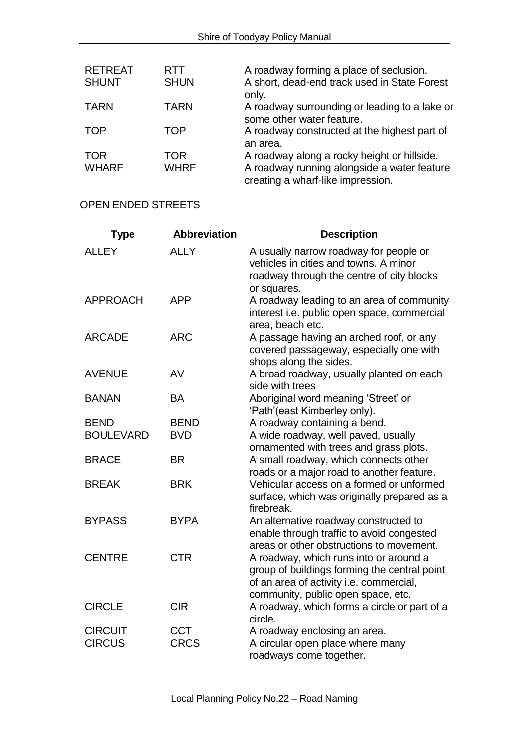| <b>RETREAT</b><br><b>SHUNT</b> | <b>RTT</b><br><b>SHUN</b> | A roadway forming a place of seclusion.<br>A short, dead-end track used in State Forest<br>only. |
|--------------------------------|---------------------------|--------------------------------------------------------------------------------------------------|
| <b>TARN</b>                    | <b>TARN</b>               | A roadway surrounding or leading to a lake or<br>some other water feature.                       |
| <b>TOP</b>                     | TOP                       | A roadway constructed at the highest part of<br>an area.                                         |
| <b>TOR</b>                     | TOR                       | A roadway along a rocky height or hillside.                                                      |
| <b>WHARF</b>                   | <b>WHRF</b>               | A roadway running alongside a water feature<br>creating a wharf-like impression.                 |

# OPEN ENDED STREETS

| <b>Type</b>      | <b>Abbreviation</b> | <b>Description</b>                                                                                                                                                      |
|------------------|---------------------|-------------------------------------------------------------------------------------------------------------------------------------------------------------------------|
| <b>ALLEY</b>     | <b>ALLY</b>         | A usually narrow roadway for people or<br>vehicles in cities and towns. A minor<br>roadway through the centre of city blocks<br>or squares.                             |
| <b>APPROACH</b>  | <b>APP</b>          | A roadway leading to an area of community<br>interest i.e. public open space, commercial<br>area, beach etc.                                                            |
| <b>ARCADE</b>    | <b>ARC</b>          | A passage having an arched roof, or any<br>covered passageway, especially one with<br>shops along the sides.                                                            |
| <b>AVENUE</b>    | AV                  | A broad roadway, usually planted on each<br>side with trees                                                                                                             |
| <b>BANAN</b>     | <b>BA</b>           | Aboriginal word meaning 'Street' or<br>'Path'(east Kimberley only).                                                                                                     |
| <b>BEND</b>      | <b>BEND</b>         | A roadway containing a bend.                                                                                                                                            |
| <b>BOULEVARD</b> | <b>BVD</b>          | A wide roadway, well paved, usually<br>ornamented with trees and grass plots.                                                                                           |
| <b>BRACE</b>     | <b>BR</b>           | A small roadway, which connects other<br>roads or a major road to another feature.                                                                                      |
| <b>BREAK</b>     | <b>BRK</b>          | Vehicular access on a formed or unformed<br>surface, which was originally prepared as a<br>firebreak.                                                                   |
| <b>BYPASS</b>    | <b>BYPA</b>         | An alternative roadway constructed to<br>enable through traffic to avoid congested<br>areas or other obstructions to movement.                                          |
| <b>CENTRE</b>    | <b>CTR</b>          | A roadway, which runs into or around a<br>group of buildings forming the central point<br>of an area of activity i.e. commercial,<br>community, public open space, etc. |
| <b>CIRCLE</b>    | <b>CIR</b>          | A roadway, which forms a circle or part of a<br>circle.                                                                                                                 |
| <b>CIRCUIT</b>   | <b>CCT</b>          | A roadway enclosing an area.                                                                                                                                            |
| <b>CIRCUS</b>    | <b>CRCS</b>         | A circular open place where many                                                                                                                                        |
|                  |                     | roadways come together.                                                                                                                                                 |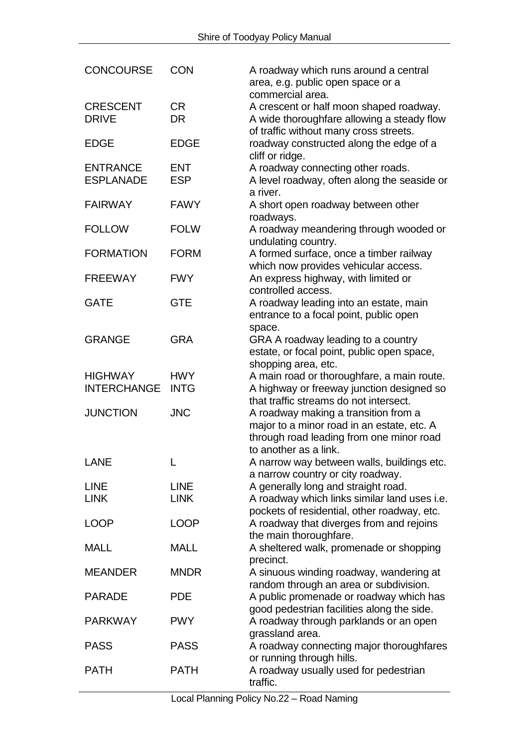| <b>CONCOURSE</b>                     | <b>CON</b>                 | A roadway which runs around a central<br>area, e.g. public open space or a<br>commercial area.                                                          |
|--------------------------------------|----------------------------|---------------------------------------------------------------------------------------------------------------------------------------------------------|
| <b>CRESCENT</b><br><b>DRIVE</b>      | <b>CR</b><br><b>DR</b>     | A crescent or half moon shaped roadway.<br>A wide thoroughfare allowing a steady flow<br>of traffic without many cross streets.                         |
| <b>EDGE</b>                          | <b>EDGE</b>                | roadway constructed along the edge of a<br>cliff or ridge.                                                                                              |
| <b>ENTRANCE</b><br><b>ESPLANADE</b>  | <b>ENT</b><br><b>ESP</b>   | A roadway connecting other roads.<br>A level roadway, often along the seaside or<br>a river.                                                            |
| <b>FAIRWAY</b>                       | <b>FAWY</b>                | A short open roadway between other<br>roadways.                                                                                                         |
| <b>FOLLOW</b>                        | <b>FOLW</b>                | A roadway meandering through wooded or<br>undulating country.                                                                                           |
| <b>FORMATION</b>                     | <b>FORM</b>                | A formed surface, once a timber railway<br>which now provides vehicular access.                                                                         |
| <b>FREEWAY</b>                       | <b>FWY</b>                 | An express highway, with limited or<br>controlled access.                                                                                               |
| <b>GATE</b>                          | <b>GTE</b>                 | A roadway leading into an estate, main<br>entrance to a focal point, public open                                                                        |
| <b>GRANGE</b>                        | <b>GRA</b>                 | space.<br>GRA A roadway leading to a country<br>estate, or focal point, public open space,<br>shopping area, etc.                                       |
| <b>HIGHWAY</b><br><b>INTERCHANGE</b> | <b>HWY</b><br><b>INTG</b>  | A main road or thoroughfare, a main route.<br>A highway or freeway junction designed so<br>that traffic streams do not intersect.                       |
| <b>JUNCTION</b>                      | <b>JNC</b>                 | A roadway making a transition from a<br>major to a minor road in an estate, etc. A<br>through road leading from one minor road<br>to another as a link. |
| <b>LANE</b>                          |                            | A narrow way between walls, buildings etc.<br>a narrow country or city roadway.                                                                         |
| <b>LINE</b><br><b>LINK</b>           | <b>LINE</b><br><b>LINK</b> | A generally long and straight road.<br>A roadway which links similar land uses i.e.<br>pockets of residential, other roadway, etc.                      |
| <b>LOOP</b>                          | <b>LOOP</b>                | A roadway that diverges from and rejoins<br>the main thoroughfare.                                                                                      |
| <b>MALL</b>                          | <b>MALL</b>                | A sheltered walk, promenade or shopping<br>precinct.                                                                                                    |
| <b>MEANDER</b>                       | <b>MNDR</b>                | A sinuous winding roadway, wandering at<br>random through an area or subdivision.                                                                       |
| <b>PARADE</b>                        | <b>PDE</b>                 | A public promenade or roadway which has<br>good pedestrian facilities along the side.                                                                   |
| <b>PARKWAY</b>                       | <b>PWY</b>                 | A roadway through parklands or an open<br>grassland area.                                                                                               |
| <b>PASS</b>                          | <b>PASS</b>                | A roadway connecting major thoroughfares<br>or running through hills.                                                                                   |
| <b>PATH</b>                          | <b>PATH</b>                | A roadway usually used for pedestrian<br>traffic.                                                                                                       |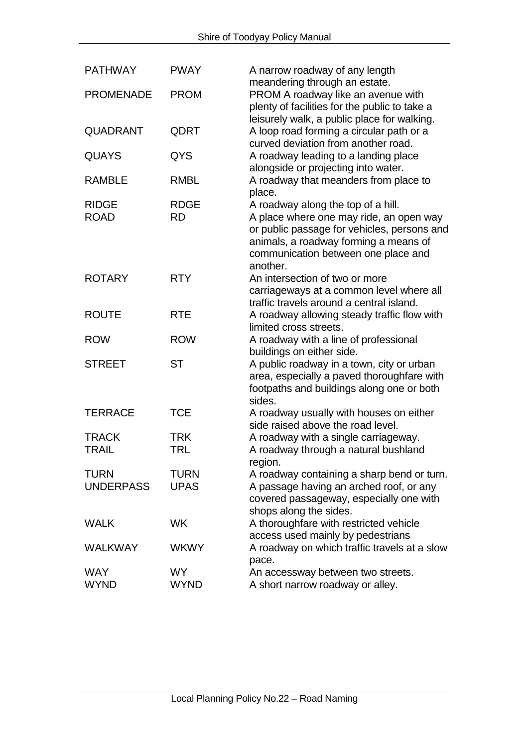| <b>PATHWAY</b>                  | <b>PWAY</b>              | A narrow roadway of any length<br>meandering through an estate.                                                                                                                                                          |
|---------------------------------|--------------------------|--------------------------------------------------------------------------------------------------------------------------------------------------------------------------------------------------------------------------|
| <b>PROMENADE</b>                | <b>PROM</b>              | PROM A roadway like an avenue with<br>plenty of facilities for the public to take a<br>leisurely walk, a public place for walking.                                                                                       |
| <b>QUADRANT</b>                 | QDRT                     | A loop road forming a circular path or a<br>curved deviation from another road.                                                                                                                                          |
| <b>QUAYS</b>                    | QYS                      | A roadway leading to a landing place<br>alongside or projecting into water.                                                                                                                                              |
| <b>RAMBLE</b>                   | <b>RMBL</b>              | A roadway that meanders from place to<br>place.                                                                                                                                                                          |
| <b>RIDGE</b><br><b>ROAD</b>     | <b>RDGE</b><br><b>RD</b> | A roadway along the top of a hill.<br>A place where one may ride, an open way<br>or public passage for vehicles, persons and<br>animals, a roadway forming a means of<br>communication between one place and<br>another. |
| <b>ROTARY</b>                   | <b>RTY</b>               | An intersection of two or more<br>carriageways at a common level where all<br>traffic travels around a central island.                                                                                                   |
| <b>ROUTE</b>                    | <b>RTE</b>               | A roadway allowing steady traffic flow with<br>limited cross streets.                                                                                                                                                    |
| <b>ROW</b>                      | <b>ROW</b>               | A roadway with a line of professional<br>buildings on either side.                                                                                                                                                       |
| <b>STREET</b>                   | <b>ST</b>                | A public roadway in a town, city or urban<br>area, especially a paved thoroughfare with<br>footpaths and buildings along one or both<br>sides.                                                                           |
| <b>TERRACE</b>                  | <b>TCE</b>               | A roadway usually with houses on either<br>side raised above the road level.                                                                                                                                             |
| <b>TRACK</b><br><b>TRAIL</b>    | <b>TRK</b><br><b>TRL</b> | A roadway with a single carriageway.<br>A roadway through a natural bushland<br>region.                                                                                                                                  |
| <b>TURN</b><br><b>UNDERPASS</b> | TURN<br><b>UPAS</b>      | A roadway containing a sharp bend or turn.<br>A passage having an arched roof, or any<br>covered passageway, especially one with<br>shops along the sides.                                                               |
| <b>WALK</b>                     | <b>WK</b>                | A thoroughfare with restricted vehicle<br>access used mainly by pedestrians                                                                                                                                              |
| <b>WALKWAY</b>                  | <b>WKWY</b>              | A roadway on which traffic travels at a slow<br>pace.                                                                                                                                                                    |
| <b>WAY</b><br><b>WYND</b>       | WY.<br><b>WYND</b>       | An accessway between two streets.<br>A short narrow roadway or alley.                                                                                                                                                    |